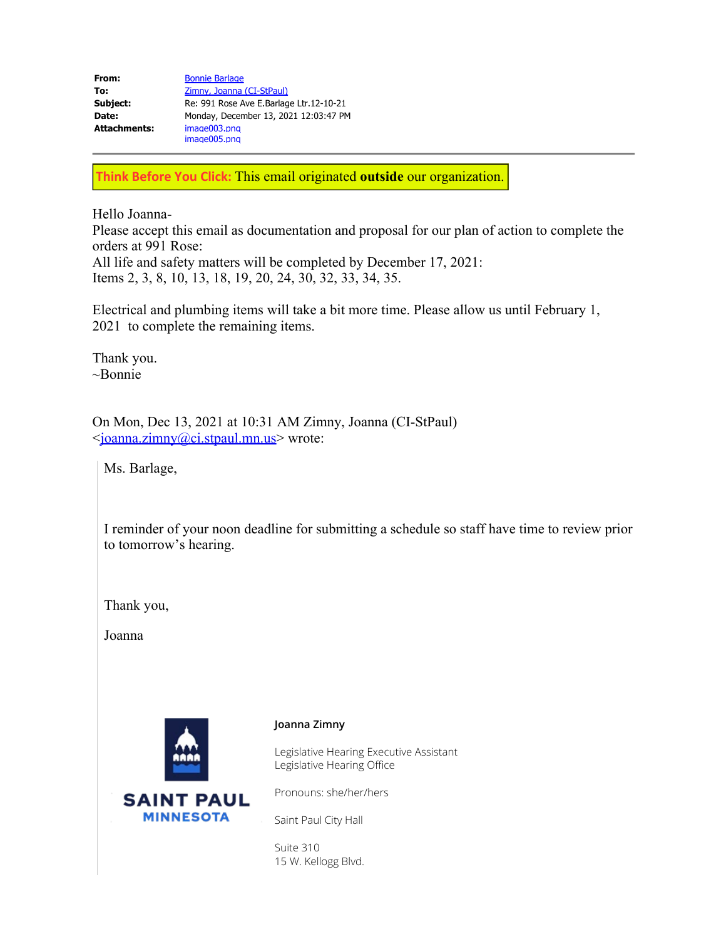| <b>Bonnie Barlage</b>                   |
|-----------------------------------------|
| Zimny, Joanna (CI-StPaul)               |
| Re: 991 Rose Ave E.Barlage Ltr.12-10-21 |
| Monday, December 13, 2021 12:03:47 PM   |
| image003.png<br>image005.png            |
|                                         |

**Think Before You Click:** This email originated **outside** our organization.

Hello Joanna-

Please accept this email as documentation and proposal for our plan of action to complete the orders at 991 Rose:

All life and safety matters will be completed by December 17, 2021: Items 2, 3, 8, 10, 13, 18, 19, 20, 24, 30, 32, 33, 34, 35.

Electrical and plumbing items will take a bit more time. Please allow us until February 1, 2021 to complete the remaining items.

Thank you. ~Bonnie

On Mon, Dec 13, 2021 at 10:31 AM Zimny, Joanna (CI-StPaul) <[joanna.zimny@ci.stpaul.mn.us](mailto:joanna.zimny@ci.stpaul.mn.us)> wrote:

Ms. Barlage,

I reminder of your noon deadline for submitting a schedule so staff have time to review prior to tomorrow's hearing.

Thank you,

Joanna



**MINNESOTA** 

## **Joanna Zimny**

Legislative Hearing Executive Assistant Legislative Hearing Office

Pronouns: she/her/hers

Saint Paul City Hall

Suite 310 15 W. Kellogg Blvd.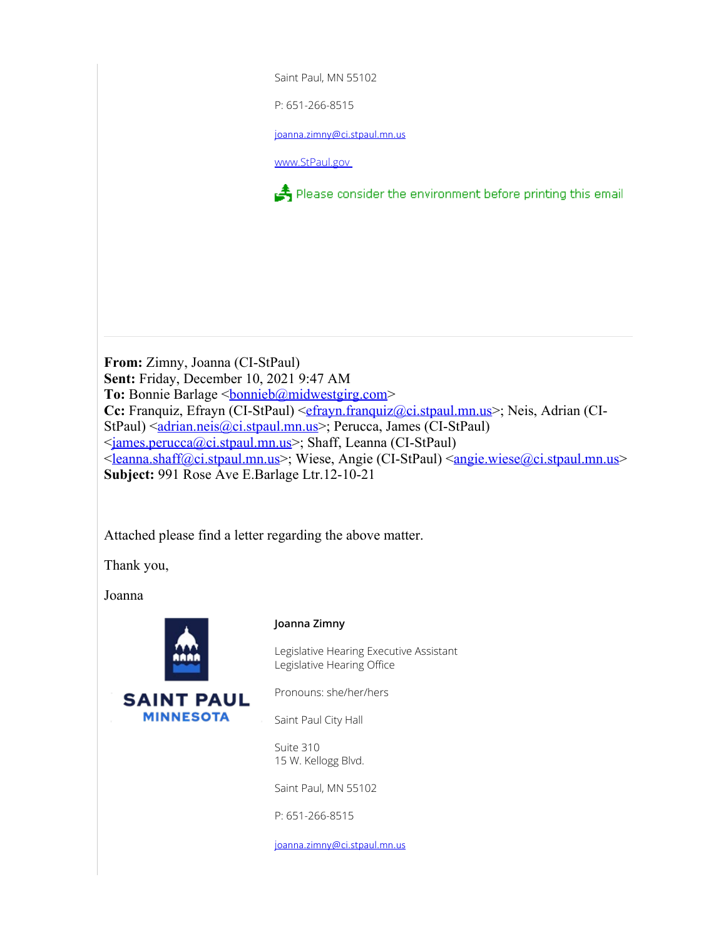Saint Paul, MN 55102 P: 651-266-8515

j[oanna.zimny@ci.stpaul.mn.us](mailto:Sharon.KennedyVickers@ci.stpaul.mn.us)

[www.StPaul.gov](https://www.stpaul.gov/legislative-hearings)

Please consider the environment before printing this email

**From:** Zimny, Joanna (CI-StPaul) **Sent:** Friday, December 10, 2021 9:47 AM To: Bonnie Barlage <br/>
<u>bonnieb@midwestgirg.com</u>> **Cc:** Franquiz, Efrayn (CI-StPaul) [<efrayn.franquiz@ci.stpaul.mn.us](mailto:efrayn.franquiz@ci.stpaul.mn.us)>; Neis, Adrian (CIStPaul) <[adrian.neis@ci.stpaul.mn.us](mailto:adrian.neis@ci.stpaul.mn.us)>; Perucca, James (CI-StPaul) <[james.perucca@ci.stpaul.mn.us>](mailto:james.perucca@ci.stpaul.mn.us); Shaff, Leanna (CI-StPaul) <<u>[leanna.shaff@ci.stpaul.mn.us](mailto:leanna.shaff@ci.stpaul.mn.us)</u>>; Wiese, Angie (CI-StPaul) <**angie.wiese@ci.stpaul.mn.us**> **Subject:** 991 Rose Ave E.Barlage Ltr.12-10-21

Attached please find a letter regarding the above matter.

Thank you,

Joanna



**MINNESOTA** 

## **Joanna Zimny**

Legislative Hearing Executive Assistant Legislative Hearing Office

Pronouns: she/her/hers

Saint Paul City Hall

Suite 310 15 W. Kellogg Blvd.

Saint Paul, MN 55102

P: 651-266-8515

j[oanna.zimny@ci.stpaul.mn.us](mailto:Sharon.KennedyVickers@ci.stpaul.mn.us)